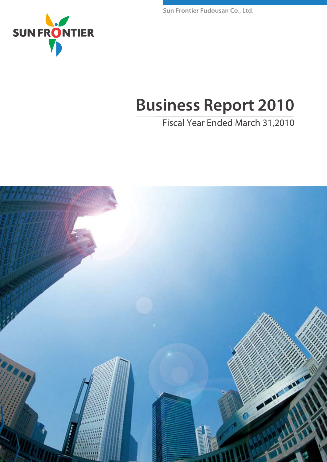Sun Frontier Fudousan Co., Ltd.



# **Business Report 2010**

# Fiscal Year Ended March 31,2010

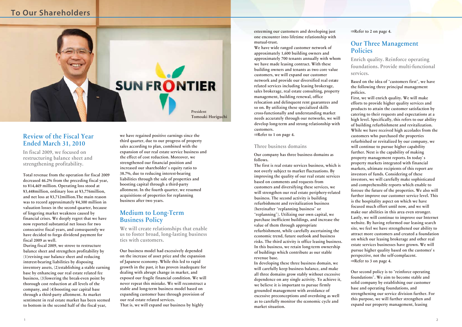# **To Our Shareholders**



esteeming our customers and developing just one encounter into lifetime relationship with mutual-trust.

We have wide ranged customer network of approximately 1,600 building owners and approximately 700 tenants annually with whom we have made leasing contract. With these building owners and tenants as two core value customers, we will expand our customer network and provide our diversified real estate related services including leasing brokerage, sales brokerage, real estate consulting, property management, building renewal, office relocation and delinquent rent guarantees and so on. By utilizing these specialized skills cross-functionally and understanding market needs accurately through our networks, we will develop long-term and strong relationship with customers.

**⇒**Refer to 1 on page 4.

### Three business domains

Our company has three business domains as follows.

The first is real estate services business, which is not overly subject to market fluctuations. By improving the quality of our real estate services based on comments and requests from customers and diversifying these services, we will strengthen our real estate periphery-related business. The second activity is building refurbishment and revitalization business (hereinafter**"**replanning business**"**or **"**replanning**"**). Utilizing our own capital, we purchase inefficient buildings, and increase the value of them through appropriate refurbishment, while carefully ascertaining the economic trend, future outlook and business risks. The third activity is office leasing business. In this business, we retain long-term ownership of buildings which contribute as our stable revenue base.

In developing these three business domain, we will carefully keep business balance, and make all three domains grow stably without excessive dependence on any single activity. To achieve it, we believe it is important to pursue firmly grounded management with avoidance of excessive preconceptions and overdoing as well as to carefully monitor the economic cycle and market situation.

**⇒**Refer to 2 on page 4.

## Our Three Management Policies

Enrich quality. Reinforce operating foundations. Provide multi-functional services.

Based on the idea of**"**customers first**"**, we have the following three principal management policies.

First, we will enrich quality. We will make efforts to provide higher quality services and products to attain the customer satisfaction by catering to their requests and expectations at a high level. Specifically, this refers to our ability of building refurbishment and revitalization. While we have received high accolades from the customers who purchased the properties refurbished or revitalized by our company, we will continue to pursue higher capability further. Next is the capability of making property management reports. In today**'**s property markets integrated with financial markets, ultimate recipients of this report are investors of funds. Considering of these investors, we will carefully make sophisticated and comprehensible reports which enable to foresee the future of the properties. We also will further improve our customer service level. This is the hospitality aspect on which we have focused much effort until now, and we will make our abilities in this area even stronger. Lastly, we will continue to improve our Internet website. By having reformed our leasing search site, we feel we have strengthened our ability to attract more customers and created a foundation on which our leasing brokerage and other real estate services businesses have grown. We will pursue higher quality based on the customer**'**s perspective, not the self-complacent. **⇒**Refer to 3 on page 4.

Our second policy is to**"**reinforce operating foundations**"**. We aim to become stable and solid company by establishing our customer base and operating foundations, and strengthening our service division further. For this purpose, we will further strengthen and expand our property management, leasing

# Review of the Fiscal Year Ended March 31, 2010

In fiscal 2009, we focused on restructuring balance sheet and strengthening profitability.

Total revenue from the operation for fiscal 2009 decreased 46.2% from the preceding fiscal year, to ¥14,469 million. Operating loss stood at ¥3,448million, ordinary loss at ¥3,776million, and net loss at ¥3,712million.The main reason was to record approximately ¥4,300 million in valuation losses in the second quarter, because of lingering market weakness caused by financial crises. We deeply regret that we have now reported substantial net losses for two consecutive fiscal years, and consequently we have decided to forgo dividend payment for fiscal 2009 as well.

During fiscal 2009, we strove to restructure balance sheet and strengthen profitability by (1)revising our balance sheet and reducing interest-bearing liabilities by disposing inventory assets, (2)establishing a stable earning base by enhancing our real estate related fee business, (3)lowering the break-even point by thorough cost reduction at all levels of the company, and (4)boosting our capital base through a third-party allotment. As market sentiment in real estate market has been seemed to bottom in the second half of the fiscal year,

we have regained positive earnings since the third quarter, due to our progress of property sales according to plan, combined with the expansion of our real estate service business and the effect of cost reduction. Moreover, we strengthened our financial position and increased our shareholder**'**s equity ratio to 38.7%, due to reducing interest-bearing liabilities through the sale of properties and boosting capital through a third-party allotment. In the fourth quarter, we resumed acquisitions of properties for replanning business after two years.

# Medium to Long-Term Business Policy

We will create relationships that enable us to foster broad, long-lasting business ties with customers.

Our business model had excessively depended on the increase of asset price and the expansion of Japanese economy. While this led to rapid growth in the past, it has proven inadequate for dealing with abrupt change in market, and exposed our fragile financial condition. We will never repeat this mistake. We will reconstruct a stable and long-term business model based on expanding customer base through provision of our real estate related services. That is, we will expand our business by highly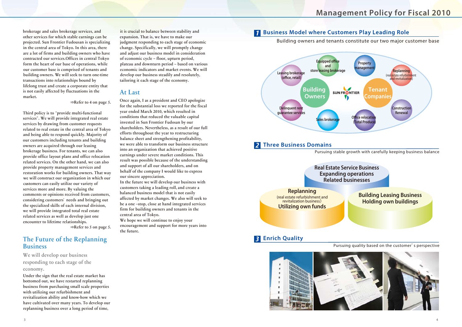brokerage and sales brokerage services, and other services for which stable earnings can be projected. Sun Frontier Fudousan is specializing in the central area of Tokyo. In this area, there are a lot of firms and building owners who have contracted our services.Offices in central Tokyo form the heart of our base of operations, while our customer base is comprised of tenants and building owners. We will seek to turn one-time transactions into relationships bound by lifelong trust and create a corporate entity that is not easily affected by fluctuations in the market.

**⇒**Refer to 4 on page 5.

Third policy is to**"**provide multi-functional services**"**. We will provide integrated real estate services by drawing from customer requests related to real estate in the central area of Tokyo and being able to respond quickly. Majority of our customers including tenants and building owners are acquired through our leasing brokerage business. For tenants, we can also provide office layout plans and office relocation related services. On the other hand, we can also provide property management services and restoration works for building owners. That way we will construct our organization in which our customers can easily utilize our variety of services more and more. By valuing the comments or opinions received from customers, considering customers**'**needs and bringing out the specialized skills of each internal division, we will provide integrated total real estate related services as well as develop just one encounter to lifetime relationships.

**⇒**Refer to 5 on page 5.

# The Future of the Replanning Business

We will develop our business responding to each stage of the economy.

Under the sign that the real estate market has bottomed out, we have restarted replanning business from purchasing small scale properties with utilizing our refurbishment and revitalization ability and know-how which we have cultivated over many years. To develop our replanning business over a long period of time,

it is crucial to balance between stability and expansion. That is, we have to make our judgment responding to each stage of economic change. Specifically, we will promptly change and adjust our business model in consideration of economic cycle – floor, upturn period, plateau and downturn period – based on various economic indicators and market events. We will develop our business steadily and resolutely, tailoring it each stage of the economy.

# At Last

Once again, I as a president and CEO apologize for the substantial loss we reported for the fiscal year ended March 2010, which resulted in conditions that reduced the valuable capital invested in Sun Frontier Fudosan by our shareholders. Nevertheless, as a result of our full efforts throughout the year to restructuring balance sheet and strengthening profitability, we were able to transform our business structure into an organization that achieved positive earnings under severe market conditions. This result was possible because of the understanding and support of all our shareholders, and on behalf of the company I would like to express our sincere appreciation.

In the future we will develop our business with customers taking a leading roll, and create a balanced business model that is not easily affected by market changes. We also will seek to be a one –stop, close at hand integrated services firm for building owners and tenants in the central area of Tokyo.

We hope we will continue to enjoy your encouragement and support for more years into the future.

# *1* **Business Model where Customers Play Leading Role**





Building owners and tenants constitute our two major customer base

Pursuing quality based on the customer's perspective

# **Management Policy for Fiscal 2010**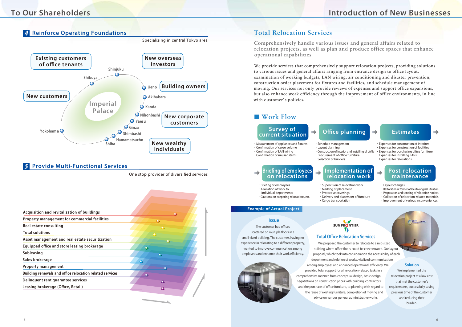# *A* Reinforce Operating Foundations

### **Issue**

The customer had offices scattered on multiple floors in a small-sized building. The customer, having no experience in relocating to a different property, wanted to improve communication among employees and enhance their work efficiency.



# SUN FRONTIER

# **Total Office Relocation Services**

# *5* **Provide Multi-Functional Services**

One stop provider of diversified services



# **To Our Shareholders Introduction of New Businesses**



| Acquisition and revitalization of buildings              | ◠         |
|----------------------------------------------------------|-----------|
| Property management for commercial facilities            | ∩         |
| <b>Real estate consulting</b>                            |           |
| <b>Total solutions</b>                                   |           |
| Asset management and real estate securitization          |           |
| Equipped office and store leasing brokerage              | $\bullet$ |
| <b>Subleasing</b>                                        | ο         |
| Sales brokerage                                          |           |
| <b>Property management</b>                               |           |
| Building renewals and office relocation related services |           |
| Delinquent rent guarantee services                       |           |
| Leasing brokerage (Office, Retail)                       |           |
|                                                          |           |

We provide services that comprehensively support relocation projects, providing solutions to various issues and general affairs ranging from entrance design to office layout, examination of working budgets, LAN wiring, air conditioning and disaster prevention, construction order placement for fixtures and facilities, and schedule management of moving. Our services not only provide reviews of expenses and support office expansions, but also enhance work efficiency through the improvement of office environments, in line with c ustomer**'**s policies.

# ■ Work Flow

#### ・Construction of interior and installing of LANs  $\cdot$  Procurement of office furniture

# Total Relocation Services

- · Briefing of employees ・ Allocation of work to
- individual departments
- ・Cautions on preparing relocations, etc.

Comprehensively handle various issues and general affairs related to relocation projects, as well as plan and produce office spaces that enhance operational capabilities

> ・ Schedule management ・ Layout planning

・ Selection of builders

- $\cdot$  Measurement of appliances and fixtures
- $\cdot$  Confirmation of cargo volume
- $\cdot$  Confirmation of LAN wiring  $\cdot$  Confirmation of unused items
	-
- ・ Expenses for construction of interiors
- ・ Expenses for construction of facilities
- $\cdot$  Expenses for purchasing office furniture
- ・ Expenses for installing LANs
- ・ Expenses for relocations

・ Supervision of relocation work ・ Marking of placement ・ Protective coverings ・ Delivery and placement of furniture ・ Cargo transportation

 $\rightarrow$ 

- ・ Layout changes
- · Restoration of former offices to original situation
- ・Preparation and sending of relocation notices
- ・ Collection of relocation-related materials
- ・ Improvement of various inconveniences

## **Survey of current situation Oce planning Estimates**

# **Brieng of employees on relocations**

 $\rightarrow$ 

### **Implementation of relocation work**

### **Post-relocation maintenance**

### **Example of Actual Project**

**Solution** We implemented the relocation project at a low cost that met the customer's requirements, successfully saving precious time of the customer and reducing their burden. We proposed the customer to relocate to a mid-sized building where office floors could be concentrated. Our layout proposal, which took into consideration the accessibility of each department and relation of works, vitalized communications among employees and enhanced operational efficiency. We provided total support for all relocation-related tasks in a comprehensive manner, from conceptual design, basic design, negotiations on construction prices with building contractors and the purchase of office furniture, to planning with regard to the reuse of existing furniture, completion of moving and advice on various general administrative works.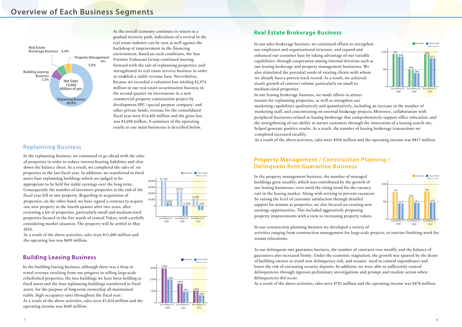# **Overview of Each Business Segments**

# **Replanning Business**

# **Real Estate Brokerage Business**

# **Property Management / Construction Planning / Delinquent Rent Guarantee Business**

As the overall economy continues to return to a gradual recovery path, indications of a revival in the real estate industry can be seen as well against the backdrop of improvement in the financing environment. Based on such conditions, the Sun Frontier Fudousan Group continued moving forward with the sale of replanning properties, and strengthened its real estate services business in order to establish a stable revenue base. Nevertheless, because we recorded a valuation loss totaling ¥2,974 million in our real estate securitization business in the second quarter on investments in a new commercial property construction project by development SPC (special purpose company) and other private funds, revenue for the consolidated fiscal year were ¥14,469 million and the gross loss was ¥1,698 million. A summary of the operating results in our main businesses is described below.

## **Building Leasing Business**

In the building leasing business, although there was a drop in rental revenue resulting from our progress in selling large-scale refurbished properties, the two buildings we have been holding as fixed assets and the four replanning buildings transferred to fixed assets for the purpose of long-term ownership all maintained stable, high occupancy rates throughout the fiscal year. As a result of the above activities, sales were ¥1,034 million and the operating income was ¥649 million.

In the replanning business, we continued to go ahead with the sales of properties in order to reduce interest-bearing liabilities and slim down the balance sheet. As a result, we completed the sales of six properties in the last fiscal year. In addition, we transferred to fixed assets four replanning buildings which are judged to be appropriate to be held for stable earnings over the long term. Consequently the number of inventory properties at the end of the fiscal year fell to one property. Regarding to acquisition of properties, on the other hand, we have signed a contract to acquire one new property in the fourth quarter after two years, after reviewing a lot of properties, particularly small and medium-sized properties located in the five wards of central Tokyo, with carefully considering market situation. The property will be settled in May 2010.

As a result of the above activities, sales were ¥11,689 million and the operating loss was ¥699 million.







In our sales brokerage business, we continued efforts to strengthen our employees and organizational structure, and expand and enhanced our customer base by taking advantage of our variable capabilities, through cooperation among internal divisions such as our leasing brokerage and property management businesses. We also stimulated the potential needs of existing clients with whom we already have a proven track record. As a result, we achieved steady growth of contract volume particularly on small to medium-sized properties.

In our leasing brokerage business, we made efforts to attract tenants for replanning properties, as well as strengthen our marketing capabilities qualitatively and quantitatively, including an increase in the number of marketing staff, and concentrating on external brokerage projects. Moreover, collaboration with peripheral businesses related to leasing brokerage that comprehensively support office relocation, and the strengthening of our ability to attract customers through the innovation of a leasing search site, helped generate positive results. As a result, the number of leasing brokerage transactions we completed increased steadily.

As a result of the above activities, sales were ¥928 million and the operating income was ¥817 million.





In the property management business, the number of managed buildings grew steadily, which was contributed by the growth of our leasing businesses, even amid the rising trend for the vacancy rate in the leasing market. Along with striving to prevent vacancies by raising the level of customer satisfaction through detailed support for tenants at properties, we also focused on creating new earnings opportunities. This included aggressively proposing property improvements with a view to increasing property values.

In our construction planning business we developed a variety of activities ranging from construction management for large-scale projects, to interior finishing work for tenant relocations.

In our delinquent rent guarantee business, the number of contracts rose steadily and the balance of guarantees also increased firmly. Under the economic stagnation, the growth was spurred by the desire of building owners to avoid rent delinquency risk, and tenants**'** need to control expenditures and lower the risk of entrusting security deposits. In addition, we were able to sufficiently control delinquencies through rigorous preliminary investigations and prompt and resolute action when delinquencies did occur.

As a result of the above activities, sales were ¥792 million and the operating income was ¥478 million.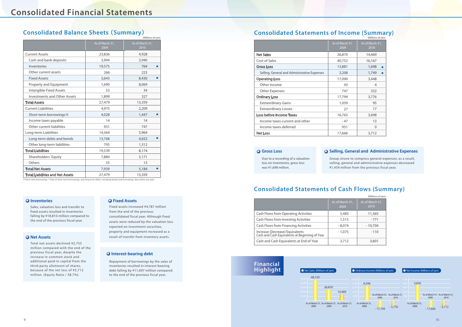# **Consolidated Balance Sheets** (**Summary**) **Consolidated Statements of Income (Summary)**

# **Consolidated Statements of Cash Flows (Summary)**

|                                                                                   |                         | (Millions of yen)       |
|-----------------------------------------------------------------------------------|-------------------------|-------------------------|
|                                                                                   | As of March 31,<br>2009 | As of March 31,<br>2010 |
| Cash Flows from Operating Activities                                              | 5,483                   | 11,365                  |
| Cash Flows from Investing Activities                                              | 1,515                   | $-771$                  |
| <b>Cash Flows from Financing Activities</b>                                       | $-8.074$                | $-10,704$               |
| Increase (Decrease) Equivalents<br>Cash and Cash Equivalents at Beginning of Year | $-1,075$                | $-110$                  |
| Cash and Cash Equivalents at End of Year                                          | 3,712                   | 3,601                   |

| CONSULTURITY OF INCOME (SUMMING)             |                         |                         |  |
|----------------------------------------------|-------------------------|-------------------------|--|
|                                              |                         | (Millions of yen)       |  |
|                                              | As of March 31,<br>2009 | As of March 31,<br>2010 |  |
| <b>Net Sales</b>                             | 26,870                  | 14,469                  |  |
| Cost of Sales                                | 40,752                  | 16,167                  |  |
| <b>Gross Loss</b>                            | 13,881                  | 1,698<br>$\bullet$      |  |
| Selling, General and Administrative Expenses | 3,208                   | 1,749<br>$\bullet$      |  |
| <b>Operating Loss</b>                        | 17,090                  | 3,448                   |  |
| Other Income                                 | 43                      | 4                       |  |
| Other Expenses                               | 747                     | 332                     |  |
| <b>Ordinary Loss</b>                         | 17,794                  | 3,776                   |  |
| <b>Extraordinary Gains</b>                   | 1,059                   | 95                      |  |
| <b>Extraordinary Losses</b>                  | 27                      | 17                      |  |
| Loss before Income Taxes                     | 16,763                  | 3,698                   |  |
| Income taxes-current and other               | $-47$                   | 13                      |  |
| Income taxes-deferred                        | 951                     | $\Omega$                |  |
| <b>Net Loss</b>                              | 17,666                  | 3,712                   |  |

※Short-term borrowings / Total of short-term borrowings, and long-term debts, including bonds and borrowings, due within one year.

Due to a recording of a valuation

loss on inventories, gross loss was ¥1,698 million.

#### **Gross Loss**

Group strove to compress general expenses; as a result, selling, general and administrative expenses decreased ¥1,459 million from the previous fiscal year.

### **Selling, General and Administrative Expenses**

| (Millions of yen)                       |                         |                         |
|-----------------------------------------|-------------------------|-------------------------|
|                                         | As of March 31,<br>2009 | As of March 31,<br>2010 |
| <b>Current Assets</b>                   | 23,836                  | 4,928                   |
| Cash and bank deposits                  | 3,994                   | 3,940                   |
| Inventories                             | 19,575                  | 764                     |
| Other current assets                    | 266                     | 223                     |
| <b>Fixed Assets</b>                     | 3,643                   | 8,430                   |
| <b>Property and Equipment</b>           | 1,690                   | 8,069                   |
| <b>Intangible Fixed Assets</b>          | 53                      | 34                      |
| <b>Investments and Other Assets</b>     | 1,899                   | 327                     |
| <b>Total Assets</b>                     | 27,479                  | 13,359                  |
| <b>Current Liabilities</b>              | 4,975                   | 2,209                   |
| Short-term borrowings *                 | 4,028                   | 1,447                   |
| Income taxes payable                    | 14                      | 14                      |
| Other current liabilities               | 931                     | 747                     |
| Long-term Liabilities                   | 14,564                  | 5,964                   |
| Long-term debts and bonds               | 13,768                  | 4,652                   |
| Other long-term liabilities             | 795                     | 1,312                   |
| <b>Total Liabilities</b>                | 19,539                  | 8,174                   |
| Shareholders' Equity                    | 7,884                   | 5,171                   |
| Others                                  | 55                      | 13                      |
| <b>Total Net Assets</b>                 | 7,939                   | 5,184                   |
| <b>Total Liabilities and Net Assets</b> | 27,479                  | 13,359                  |



Sales, valuation loss and transfer to fixed assets resulted in inventories falling by ¥18,810 million compared to the end of the previous fiscal year.

#### **O** Net Assets

Fixed assets increased ¥4,787 million from the end of the previous consolidated fiscal year. Although fixed assets were reduced by the valuation loss reported on investment securities, property and equipment increased as a result of transfer from inventory assets.

#### **Q** Interest-bearing debt

Repayment of borrowings by the sales of inventories resulted in interest-bearing debt falling by ¥11,697 million compared to the end of the previous fiscal year.

Total net assets declined ¥2,755 million compared with the end of the previous fiscal year, despite the increase in common stock and additional paid-in capital from the third-party allotment of shares, because of the net loss of ¥3,712 million. (Equity Ratio / 38.7%).

#### **O** Inventories **C** Inventories

### **Financial Highlight**